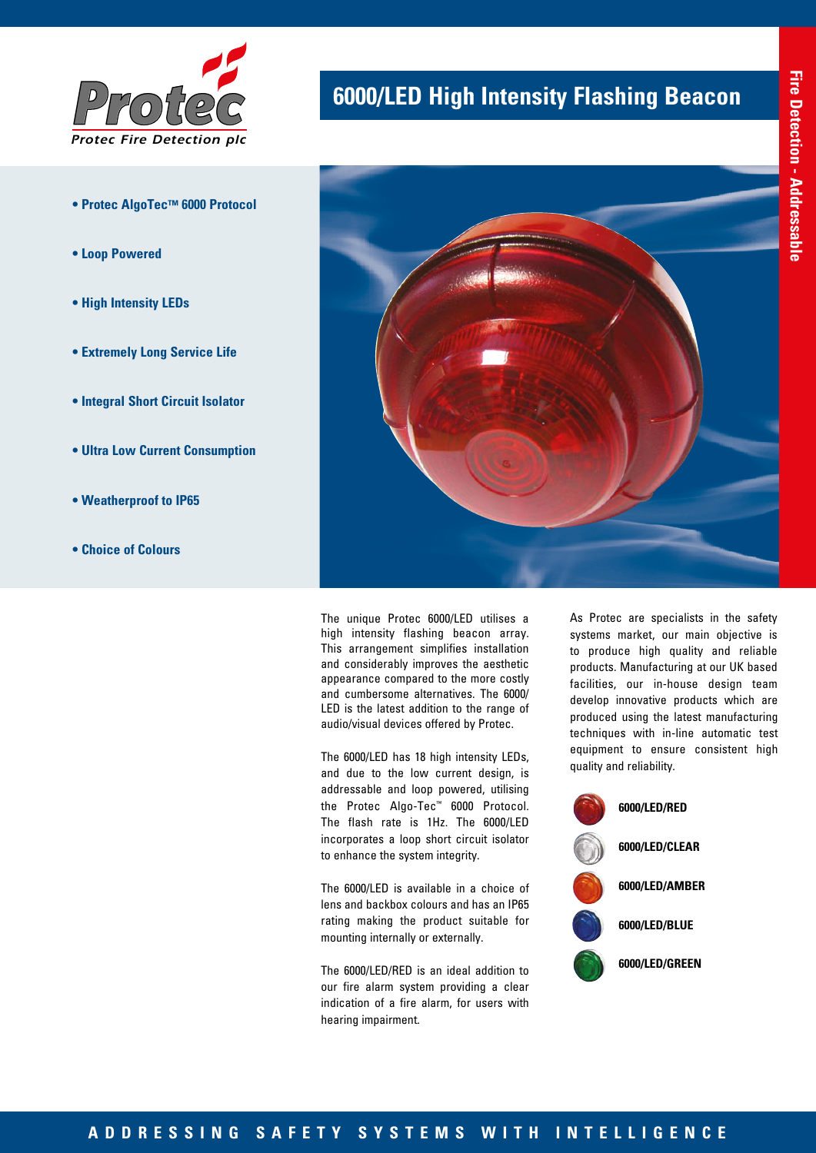

- **Protec AlgoTec™ 6000 Protocol**
- **Loop Powered**
- **High Intensity LEDs**
- **Extremely Long Service Life**
- **Integral Short Circuit Isolator**
- **Ultra Low Current Consumption**
- **Weatherproof to IP65**
- **Choice of Colours**

# **6000/LED High Intensity Flashing Beacon**



The unique Protec 6000/LED utilises a high intensity flashing beacon array. This arrangement simplifies installation and considerably improves the aesthetic appearance compared to the more costly and cumbersome alternatives. The 6000/ LED is the latest addition to the range of audio/visual devices offered by Protec.

The 6000/LED has 18 high intensity LEDs, and due to the low current design, is addressable and loop powered, utilising the Protec Algo-Tec™ 6000 Protocol. The flash rate is 1Hz. The 6000/LED incorporates a loop short circuit isolator to enhance the system integrity.

The 6000/LED is available in a choice of lens and backbox colours and has an IP65 rating making the product suitable for mounting internally or externally.

The 6000/LED/RED is an ideal addition to our fire alarm system providing a clear indication of a fire alarm, for users with hearing impairment.

As Protec are specialists in the safety systems market, our main objective is to produce high quality and reliable products. Manufacturing at our UK based facilities, our in-house design team develop innovative products which are produced using the latest manufacturing techniques with in-line automatic test equipment to ensure consistent high quality and reliability.